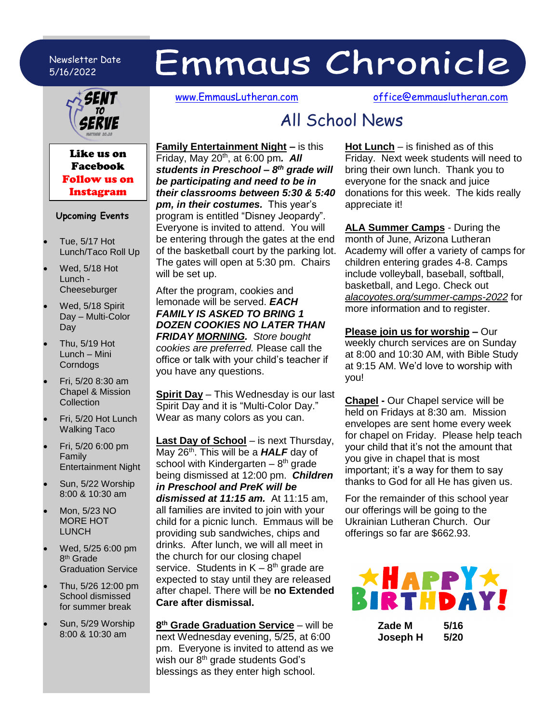### Newsletter Date 5/16/2022

# Emmaus Chronicle



### Like us on Facebook Follow us on Instagram

### **Upcoming Events**

- Tue, 5/17 Hot Lunch/Taco Roll Up
- Wed, 5/18 Hot Lunch - Cheeseburger
- Wed, 5/18 Spirit Day – Multi-Color Day
- Thu, 5/19 Hot Lunch – Mini **Corndogs**
- Fri, 5/20 8:30 am Chapel & Mission **Collection**
- Fri, 5/20 Hot Lunch Walking Taco
- Fri, 5/20 6:00 pm Family Entertainment Night
- Sun, 5/22 Worship 8:00 & 10:30 am
- Mon, 5/23 NO MORE HOT LUNCH
- Wed, 5/25 6:00 pm 8<sup>th</sup> Grade Graduation Service
- Thu, 5/26 12:00 pm School dismissed for summer break
- Sun, 5/29 Worship 8:00 & 10:30 am

[www.EmmausLutheran.com](http://www.emmauslutheran.com/) [office@emmauslutheran.com](mailto:office@emmauslutheran.com)

## All School News

appreciate it!

**Family Entertainment Night –** is this Friday, May 20th, at 6:00 pm*. All students in Preschool – 8 th grade will be participating and need to be in their classrooms between 5:30 & 5:40 pm, in their costumes.* This year's program is entitled "Disney Jeopardy". Everyone is invited to attend. You will be entering through the gates at the end of the basketball court by the parking lot. The gates will open at 5:30 pm. Chairs will be set up.

After the program, cookies and lemonade will be served. *EACH FAMILY IS ASKED TO BRING 1 DOZEN COOKIES NO LATER THAN FRIDAY MORNING. Store bought cookies are preferred.* Please call the office or talk with your child's teacher if you have any questions.

**Spirit Day** – This Wednesday is our last Spirit Day and it is "Multi-Color Day." Wear as many colors as you can.

**Last Day of School** – is next Thursday, May 26<sup>th</sup>. This will be a **HALF** day of school with Kindergarten  $-8<sup>th</sup>$  grade being dismissed at 12:00 pm. *Children in Preschool and PreK will be dismissed at 11:15 am.* At 11:15 am, all families are invited to join with your child for a picnic lunch. Emmaus will be providing sub sandwiches, chips and drinks. After lunch, we will all meet in the church for our closing chapel service. Students in  $K - 8^{th}$  grade are expected to stay until they are released after chapel. There will be **no Extended Care after dismissal.**

**8 th Grade Graduation Service** – will be next Wednesday evening, 5/25, at 6:00 pm. Everyone is invited to attend as we wish our 8<sup>th</sup> grade students God's blessings as they enter high school.

**Hot Lunch** – is finished as of this Friday. Next week students will need to bring their own lunch. Thank you to everyone for the snack and juice donations for this week. The kids really

**ALA Summer Camps** - During the month of June, Arizona Lutheran Academy will offer a variety of camps for children entering grades 4-8. Camps include volleyball, baseball, softball, basketball, and Lego. Check out *alacoyotes.org/summer-camps-2022* for more information and to register.

**Please join us for worship –** Our weekly church services are on Sunday at 8:00 and 10:30 AM, with Bible Study at 9:15 AM. We'd love to worship with you!

**Chapel -** Our Chapel service will be held on Fridays at 8:30 am. Mission envelopes are sent home every week for chapel on Friday. Please help teach your child that it's not the amount that you give in chapel that is most important; it's a way for them to say thanks to God for all He has given us.

For the remainder of this school year our offerings will be going to the Ukrainian Lutheran Church. Our offerings so far are \$662.93.